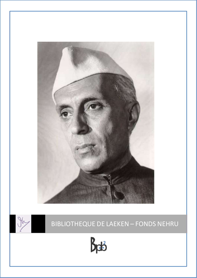



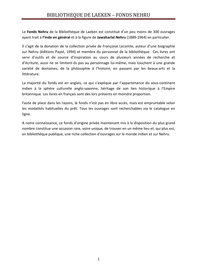Le **Fonds Nehru** de la Bibliothèque de Laeken est constitué d'un peu moins de 300 ouvrages ayant trait à **l'Inde en général** et à la figure de **Jawaharlal Nehru** (1889-1964) en particulier.

Il s'agit de la donation de la collection privée de Françoise Lecomte, auteur d'une biographie sur Nehru (éditions Payot, 1994) et membre du personnel de la bibliothèque. Ces livres ont servi d'outils et de source d'inspiration au cours de plusieurs années de recherche et d'écriture, aussi ne se limitent-ils pas au personnage lui-même, mais touchent à une grande variété de domaines, de la philosophie à l'histoire, en passant par les beaux-arts et la littérature.

La majorité du fonds est en anglais, ce qui s'explique par l'appartenance du sous-continent indien à la sphère culturelle anglo-saxonne, héritage de son lien historique à l'Empire britannique. Les livres en français sont dès lors présents en moindre proportion.

Faute de place dans les rayons, le fonds n'est pas en libre accès, mais est empruntable selon les modalités habituelles du prêt. Tous les ouvrages sont recherchables via le catalogue en ligne.

A notre connaissance, ce fonds d'origine privée maintenant mis à la disposition du plus grand nombre constitue une occasion rare, voire unique, de trouver en un même lieu et, qui plus est, en bibliothèque publique, une riche collection d'ouvrages sur le monde indien et sur Nehru.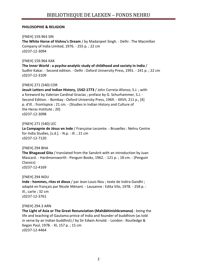# **PHILOSOPHIE & RELIGION**

#### [FNEH] 159.963 SIN

**The White Horse of Vishnu's Dream** / by Madanjeet Singh. - Delhi : The Macmillan Company of India Limited, 1976. - 255 p. ; 22 cm c0237-12-3094

#### [FNEH] 159.964 KAK

**The Inner World : a psycho-analytic study of childhood and society in India** / Sudhir Kakar. - Second edition. - Delhi : Oxford University Press, 1991. - 241 p. ; 22 cm c0237-12-3109

# [FNEH] 271 (540) COR

**Jesuit Letters and Indian History, 1542-1773** / John Correia-Afonso, S.J. ; with a foreword by Valerian Cardinal Gracias ; preface by G. Schurhammer, S.J. - Second Edition. - Bombay : Oxford University Press, 1969. - XXVII, 211 p., [4] p. d'ill. : frontispice ; 21 cm. - (Studies in Indian History and Culture of the Heras Institute ; 20) c0237-12-3098

#### [FNEH] 271 (540) LEC

**La Compagnie de Jésus en Inde** / Françoise Lecomte. - Bruxelles : Nehru Centre for India Studies, [s.d.]. - N.p. : ill. ; 21 cm c0237-12-7120

# [FNEH] 294 BHA

**The Bhagavad Gita** / translated from the Sanskrit with an introduction by Juan Mascaró. - Hardmonsworth : Penguin Books, 1962. - 121 p. ; 18 cm. - (Penguin Classics)

c0237-12-4169

# [FNEH] 294 NOU

**Inde : hommes, rites et dieux** / par Jean-Louis Nou ; texte de Indira Gandhi ; adapté en français par Nicole Ménant. - Lausanne : Edita Vilo, 1978. - 258 p. : ill., carte ; 32 cm c0237-12-3761

# [FNEH] 294.3 ARN

**The Light of Asia or The Great Renunciation (Mahâbhinishkramana)** : being the life and teaching of Gautama prince of India and founder of buddhism (as told in verse by an Indian buddhist) / by Sir Edwin Arnold. - London : Routledge & Kegan Paul, 1978. - XI, 157 p. ; 15 cm c0237-12-4464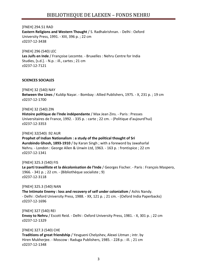[FNEH] 294.51 RAD **Eastern Religions and Western Thought** / S. Radhakrishnan. - Delhi : Oxford University Press, 1991. - XIII, 396 p. ; 22 cm c0237-12-3438

[FNEH] 296 (540) LEC **Les Juifs en Inde** / Françoise Lecomte. - Bruxelles : Nehru Centre for India Studies, [s.d.]. - N.p. : ill., cartes ; 21 cm c0237-12-7121

#### **SCIENCES SOCIALES**

[FNEH] 32 (540) NAY **Between the Lines** / Kuldip Nayar. - Bombay : Allied Publishers, 1975. - X, 231 p. ; 19 cm c0237-12-1700

[FNEH] 32 (540) ZIN

**Histoire politique de l'Inde indépendante** / Max Jean Zins. - Paris : Presses Universitaires de France, 1992. - 335 p. : carte ; 22 cm. - (Politique d'aujourd'hui) c0237-12-3353

[FNEH] 32(540) :92 AUR

**Prophet of Indian Nationalism : a study of the political thought of Sri Aurobindo Ghosh, 1893-1910** / by Karan Singh ; with a foreword by Jawaharlal Nehru. - London : George Allen & Unwin Ltd, 1963. - 163 p. : frontispice ; 22 cm c0237-12-1341

[FNEH] 325.3 (540) FIS **Le parti travailliste et la décolonisation de l'Inde** / Georges Fischer. - Paris : François Maspero, 1966. - 341 p. ; 22 cm. - (Bibliothèque socialiste ; 9) c0237-12-3118

[FNEH] 325.3 (540) NAN **The Intimate Enemy : loss and recovery of self under colonialism** / Ashis Nandy. - Delhi : Oxford University Press, 1988. - XX, 121 p. ; 21 cm. - (Oxford India Paperbacks) c0237-12-1696

[FNEH] 327 (540) REI **Envoy to Nehru** / Escott Reid. - Delhi : Oxford University Press, 1981. - X, 301 p. ; 22 cm c0237-12-1329

[FNEH] 327.3 (540) CHE **Traditions of great friendship** / Yevgueni Chelyshev, Alexei Litman ; intr. by Hiren Mukherjee. - Moscow : Raduga Publishers, 1985. - 228 p. : ill. ; 21 cm c0237-12-1348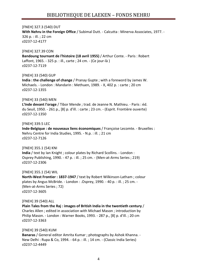[FNEH] 327.3 (540) DUT **With Nehru in the Foreign Office** / Subimal Dutt. - Calcutta : Minerva Associates, 1977. - 326 p. : ill. ; 22 cm c0237-12-4177

[FNEH] 327.39 CON **Bandoung tournant de l'histoire (18 avril 1955)** / Arthur Conte. - Paris : Robert Laffont, 1965. - 325 p. : ill., carte ; 24 cm. - (Ce jour-là ) c0237-12-7119

[FNEH] 33 (540) GUP **India : the challenge of change** / Pranay Gupte ; with a foreword by James W. Michaels. - London : Mandarin : Methuen, 1989. - X, 402 p. : carte ; 20 cm c0237-12-1355

#### [FNEH] 33 (540) MEN

**L'Inde devant l'orage** / Tibor Mende ; trad. de Jeanne N. Mathieu. - Paris : éd. du Seuil, 1950. - 261 p., [8] p. d'ill. : carte ; 23 cm. - (Esprit. Frontière ouverte) c0237-12-1350

#### [FNEH] 339.5 LEC

**Inde-Belgique : de nouveaux liens économiques** / Françoise Lecomte. - Bruxelles : Nehru Centre for India Studies, 1995. - N.p. : ill. ; 21 cm c0237-12-7126

[FNEH] 355.1 (54) KNI **India** / text by Ian Knight ; colour plates by Richard Scollins. - London : Osprey Publishing, 1990. - 47 p. : ill. ; 25 cm. - (Men-at-Arms Series ; 219) c0237-12-2306

[FNEH] 355.1 (54) WIL **North-West Frontier : 1837-1947** / text by Robert Wilkinson-Latham ; colour plates by Angus McBride. - London : .Osprey, 1990. - 40 p. : ill. ; 25 cm. - (Men-at-Arms Series ; 72) c0237-12-3605

[FNEH] 39 (540) ALL

**Plain Tales from the Raj : images of British India in the twentieth century** / Charles Allen ; edited in association with Michael Mason ; introduction by Philip Mason. - London : Warner Books, 1993. - 287 p., [8] p. d'ill. ; 20 cm c0237-12-3363

#### [FNEH] 39 (540) KUM

**Banaras** / General editor Amrita Kumar ; photographs by Ashok Khanna. - New Delhi : Rupa & Co, 1994. - 64 p. : ill. ; 14 cm. - (Classic India Series) c0237-12-4449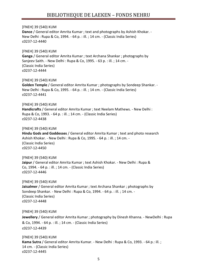[FNEH] 39 (540) KUM **Dance** / General editor Amrita Kumar ; text and photographs by Ashish Khokar. - New Delhi : Rupa & Co, 1994. - 64 p. : ill. ; 14 cm. - (Classic India Series) c0237-12-4440 [FNEH] 39 (540) KUM **Ganga** / General editor Amrita Kumar ; text Archana Shankar ; photographs by Sanjeev Saith. - New Delhi : Rupa & Co, 1995. - 63 p. : ill. ; 14 cm. - (Classic India Series) c0237-12-4444 [FNEH] 39 (540) KUM **Golden Temple** / General editor Amrita Kumar ; photographs by Sondeep Shankar. - New Delhi : Rupa & Co, 1995. - 64 p. : ill. ; 14 cm. - (Classic India Series) c0237-12-4441 [FNEH] 39 (540) KUM **Handicrafts** / General editor Amrita Kumar ; text Neelam Mathews. - New Delhi : Rupa & Co, 1993. - 64 p. : ill. ; 14 cm. - (Classic India Series) c0237-12-4438 [FNEH] 39 (540) KUM **Hindu Gods and Goddesses** / General editor Amrita Kumar ; text and photo research Ashish Khokar. - New Delhi : Rupa & Co, 1995. - 64 p. : ill. ; 14 cm. - (Classic India Series) c0237-12-4450 [FNEH] 39 (540) KUM **Jaipur** / General editor Amrita Kumar ; text Ashish Khokar. - New Delhi : Rupa & Co, 1994. - 64 p. : ill. ; 14 cm. - (Classic India Series) c0237-12-4446 [FNEH] 39 (540) KUM **Jaisalmer** / General editor Amrita Kumar ; text Archana Shankar ; photographs by Sondeep Shankar. - New Delhi : Rupa & Co, 1994. - 64 p. : ill. ; 14 cm. - (Classic India Series) c0237-12-4448 [FNEH] 39 (540) KUM **Jewellery** / General editor Amrita Kumar ; photography by Dinesh Khanna. - NewDelhi : Rupa & Co, 1994. - 64 p. : ill. ; 14 cm. - (Classic India Series) c0237-12-4439 [FNEH] 39 (540) KUM **Kama Sutra** / General editor Amrita Kumar. - New Delhi : Rupa & Co, 1993. - 64 p.: ill. ; 14 cm. - (Classic India Series)

c0237-12-4445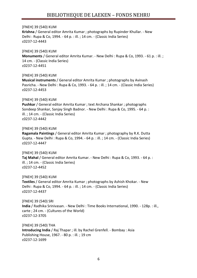[FNEH] 39 (540) KUM **Krishna** / General editor Amrita Kumar ; photographs by Rupinder Khullar. - New Delhi : Rupa & Co, 1994. - 64 p. : ill. ; 14 cm. - (Classic India Series) c0237-12-4443

[FNEH] 39 (540) KUM **Monuments** / General editor Amrita Kumar. - New Delhi : Rupa & Co, 1993. - 61 p. : ill. ; 14 cm. - (Classic India Series) c0237-12-4451

[FNEH] 39 (540) KUM **Musical instruments** / General editor Amrita Kumar ; photographs by Avinash Pasricha. - New Delhi : Rupa & Co, 1993. - 64 p. : ill. ; 14 cm. - (Classic India Series) c0237-12-4453

[FNEH] 39 (540) KUM

**Pushkar** / General editor Amrita Kumar ; text Archana Shankar ; photographs Sondeep Shankar, Sanjay Singh Badnor. - New Delhi : Rupa & Co, 1995. - 64 p. : ill. ; 14 cm. - (Classic India Series) c0237-12-4442

[FNEH] 39 (540) KUM **Ragamala Paintings** / General editor Amrita Kumar ; photography by R.K. Dutta Gupta. - New Delhi : Rupa & Co, 1994. - 64 p. : ill. ; 14 cm. - (Classic India Series) c0237-12-4447

[FNEH] 39 (540) KUM **Taj Mahal** / General editor Amrita Kumar. - New Delhi : Rupa & Co, 1993. - 64 p. : ill. ; 14 cm. - (Classic India Series) c0237-12-4452

[FNEH] 39 (540) KUM **Textiles** / General editor Amrita Kumar ; photographs by Ashish Khokar. - New Delhi : Rupa & Co, 1994. - 64 p. : ill. ; 14 cm. - (Classic India Series) c0237-12-4437

[FNEH] 39 (540) SRI **India** / Radhika Srinivasan. - New Delhi : Time Books International, 1990. - 128p. : ill., carte ; 24 cm. - (Cultures of the World) c0237-12-3705

[FNEH] 39 (540) THA **Introducing India** / Raj Thapar ; ill. by Rachel Grenfell. - Bombay : Asia Publishing House, 1967. - 80 p. : ill. ; 19 cm c0237-12-1699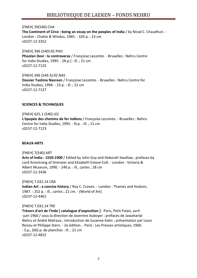[FNEH] 39(540) CHA **The Continent of Circe : being an essay on the peoples of India** / by Nirad C. Chaudhuri. - London : Chatto & Windus, 1965. - 320 p. ; 23 cm c0237-12-3352

[FNEH] 396 (540):92 PHO **Phoolan Devi : la controverse** / Françoise Lecomte. - Bruxelles : Nehru Centre for India Studies, 1995. - [N.p.] : ill. ; 21 cm c0237-12-7125

[FNEH] 396 (549.3):92 NAS **Dossier Taslima Nasreen** / Françoise Lecomte. - Bruxelles : Nehru Centre for India Studies, 1994. - 23 p. : ill. ; 21 cm c0237-12-7127

#### **SCIENCES & TECHNIQUES**

[FNEH] 625.1 (540) LEC **L'épopée des chemins de fer indiens** / Françoise Lecomte. - Bruxelles : Nehru Centre for India Studies, 1995. - N.p. : ill. ; 21 cm c0237-12-7123

#### **BEAUX-ARTS**

[FNEH] 7(540) ART

**Arts of India : 1550-1900** / Edited by John Guy and Deborah Swallow ; prefaces by Lord Armstrong of Ilminster and Elizabeth Esteve-Coll. - London : Victoria & Albert Museum, 1990. - 240 p. : ill., cartes ; 28 cm c0237-12-3436

[FNEH] 7.032.14 CRA **Indian Art : a concise history** / Roy C. Craven. - London : Thames and Hudson, 1987. - 252 p. : ill., cartes ; 21 cm. - (World of Art) c0237-12-4461

#### [FNEH] 7.032.14 TRE

**Trésors d'art de l'Inde [ catalogue d'exposition ]** : Paris, Petit Palais, avril -juin 1960 / sous la direction de Jeannine Auboyer ; préfaces de Jawaharlal Nehru et André Malraux ; introduction de Suzanne Kahn ; présentation par Louis Renou et Philippe Stern. - 2e édition. - Paris : Les Presses artistiques, 1960. - S.p., [66] p. de planches : ill. ; 21 cm c0237-12-4815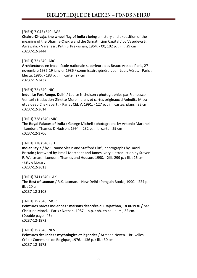# [FNEH] 7.045 (540) AGR

**Chakra-Dhvaja, the wheel flag of India** : being a history and exposition of the meaning of the Dharma-Chakra and the Sarnath Lion Capital / by Vasudeva S. Agrawala. - Varanasi : Prithivi Prakashan, 1964. - XX, 102 p. : ill. ; 29 cm c0237-12-3444

# [FNEH] 72 (540) ARC

**Architectures en Inde** : école nationale supérieure des Beaux-Arts de Paris, 27 novembre 1985-19 janvier 1986 / commissaire général Jean-Louis Véret. - Paris : Electa, 1985. - 183 p. : ill., carte ; 27 cm c0237-12-3437

# [FNEH] 72 (540) NIC

**Inde : Le Fort Rouge, Delhi** / Louise Nicholson ; photographies par Francesco Venturi ; traduction Ginette Morel ; plans et cartes originaux d'Anindita Mitra et Jaideep Chakrabarti. - Paris : CELIV, 1991. - 127 p. : ill., cartes, plans ; 32 cm c0237-12-3614

# [FNEH] 728 (540) MIC

**The Royal Palaces of India** / George Michell ; photographs by Antonio Martinelli. - London : Thames & Hudson, 1994. - 232 p. : ill., carte ; 29 cm c0237-12-3706

# [FNEH] 728 (540) SLE

**Indian Style** / by Suzanne Slesin and Stafford Cliff ; photographs by David Brittain ; foreword by Ismail Merchant and James Ivory ; introduction by Steven R. Weisman. - London : Thames and Hudson, 1990. - XIII, 299 p. : ill. ; 26 cm. - (Style Library) c0237-12-3613

[FNEH] 741 (540) LAX **The Best of Laxman** / R.K. Laxman. - New Delhi : Penguin Books, 1990. - 224 p. : ill. ; 20 cm c0237-12-3108

[FNEH] 75 (540) MOR **Peintures naïves indiennes : maisons décorées du Rajasthan, 1830-1930 /** par Christine Morel. - Paris : Nathan, 1987. - n.p. : ph. en couleurs ; 32 cm. - (Double page ; 46) c0237-12-1972

[FNEH] 75 (540) NEV **Peintures des Indes : mythologies et légendes** / Armand Neven. - Bruxelles : Crédit Communal de Belgique, 1976. - 136 p. : ill. ; 30 cm c0237-12-1973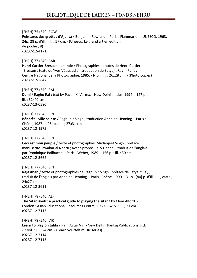[FNEH] 75 (540) ROW **Peintures des grottes d'Ajanta** / Benjamin Rowland. - Paris : Flammarion : UNESCO, 1963. - 24p, 28 p. d'ill. : ill. ; 17 cm. - (Unesco. Le grand art en édition de poche ; 8) c0237-12-4171

#### [FNEH] 77 (540) CAR

**Henri Cartier-Bresson : en Inde** / Photographies et notes de Henri Cartier -Bresson ; texte de Yves Véquaud ; introduction de Satyajit Ray. - Paris : Centre National de la Photographie, 1985. - N.p. : ill. ; 26x28 cm. - (Photo copies) c0237-12-3647

[FNEH] 77 (540) RAI **Delhi** / Raghu Rai ; text by Pavan K. Varma. - New Delhi : Indus, 1994. - 127 p. : ill. ; 32x40 cm c0237-13-0580

[FNEH] 77 (540) SIN **Bénarès : ville sainte** / Raghubir Singh ; traduction Anne de Henning. - Paris : Chêne, 1987. - [96] p. : ill. ; 27x31 cm c0237-12-1975

[FNEH] 77 (540) SIN

**Ceci est mon peuple** / texte et photographies Madanjeet Singh ; préface manuscrite Jawaharlal Nehru ; avant-propos Rajiv Gandhi ; traduit de l'anglais par Dominique Bailhache. - Paris : Weber, 1989. - 156 p. : ill. ; 30 cm c0237-12-5662

[FNEH] 77 (540) SIN

**Rajasthan** / texte et photographies de Raghubir Singh ; préface de Satyajit Ray ; traduit de l'anglais par Anne de Henning. - Paris : Chêne, 1990. - 31 p., [80] p. d'ill. : ill., carte ; 24x27 cm c0237-12-3611

[FNEH] 78 (540) ALF **The Sitar Book : a practical guide to playing the sitar** / by Clem Alford. - London : Asian Educational Resources Centre, 1989. - 62 p. : ill. ; 21 cm c0237-12-7113

[FNEH] 78 (540) VIR **Learn to play on tabla** / Ram Avtar Vir. - New Delhi : Pankaj Publications, s.d. - 2 vol. : ill. ; 24 cm. - (Learn yourself music series) c0237-12-7114 c0237-12-7115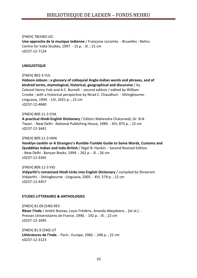[FNEH] 78(540) LEC **Une approche de la musique indienne** / Françoise Lecomte. - Bruxelles : Nehru Centre for India Studies, 1997. - 15 p. : ill. ; 21 cm c0237-12-7124

#### **LINGUISTIQUE**

[FNEH] 802-3 YUL

**Hobson-Jobson : a glossary of colloquial Anglo-Indian words and phrases, and of kindred terms, etymological, historical, geographical and discursive** / by Colonel Henry Yule and A.C. Burnell. - second edition / edited by William Crooke ; with a historical perspective by Nirad C. Chaudhuri. - Sittingbourne : Linguasia, 1994. - LIV, 1021 p. ; 22 cm c0237-12-4840

[FNEH] 809.11-3 CHA **A practical Hindi-English Dictionary** / Editors Mahendra Chaturvedi, Dr. B.N. Tiwari. - New Delhi : National Publishing House, 1989. - XVI, 875 p. ; 22 cm c0237-12-3441

[FNEH] 809.11-3 HAN **Hanklyn-Janklin or A Strangers's Rumble-Tumble Guide to Some Words, Customs and Quiddities Indian and Indo-British** / Nigel B. Hankin. - Second Revised Edition. - New Delhi : Banyan Books, 1994. - 262 p. : ill. ; 26 cm c0237-12-3365

[FNEH] 809.11-3 VID **Vidyarthi's romanized Hindi-Urdu into English Dictionary** / compiled by Shreeram Vidyarthi. - Sittingbourne : Linguasia, 2005. - XVI, 579 p. ; 22 cm c0237-12-4457

#### **ETUDES LITTERAIRES & ANTHOLOGIES**

[FNEH] 81.09 (540) REV **Rêver l'Inde** / André Bareau, Louis Frédéric, Ananda Abeydeera... [et al.]. - Presses Universitaires de France, 1990. - 192 p. : ill. ; 22 cm c0237-12-1695

[FNEH] 81.9 (540) LIT **Littératures de l'Inde**. - Paris : Europe, 1982. - 248 p. ; 22 cm c0237-12-3123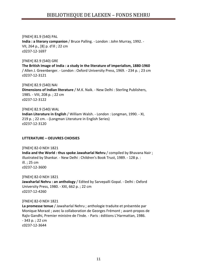[FNEH] 81.9 (540) PAL **India : a literary companion** / Bruce Palling. - London : John Murray, 1992. - VII, 264 p., [8] p. d'ill ; 22 cm c0237-12-1697

[FNEH] 82.9 (540) GRE

**The British Image of India : a study in the literature of imperialism, 1880-1960**  / Allen J. Greenberger. - London : Oxford University Press, 1969. - 234 p. ; 23 cm c0237-12-3121

[FNEH] 82.9 (540) NAI **Dimensions of Indian literature** / M.K. Naik. - New Delhi : Sterling Publishers, 1985. - VIII, 208 p. ; 22 cm c0237-12-3122

[FNEH] 82.9 (540) WAL **Indian Literature in English** / William Walsh. - London : Longman, 1990. - XI, 219 p. ; 22 cm. - (Longman Literature in English Series) c0237-12-3120

**LITTERATURE – OEUVRES CHOISIES** 

[FNEH] 82-0 NEH 1821 **India and the World : thus spoke Jawaharlal Nehru** / compiled by Bhavana Nair ; illustrated by Shankar. - New Delhi : Children's Book Trust, 1989. - 128 p. : ill. ; 25 cm c0237-12-3600

[FNEH] 82-0 NEH 1821 **Jawaharlal Nehru : an anthology** / Edited by Sarvepalli Gopal. - Delhi : Oxford University Press, 1980. - XXI, 662 p. ; 22 cm c0237-12-4260

[FNEH] 82-0 NEH 1821

**La promesse tenue** / Jawaharlal Nehru ; anthologie traduite et présentée par Monique Morazé ; avec la collaboration de Georges Frémont ; avant-propos de Rajiv Gandhi, Premier ministre de l'Inde. - Paris : éditions L'Harmattan, 1986. - 343 p. ; 22 cm c0237-12-3644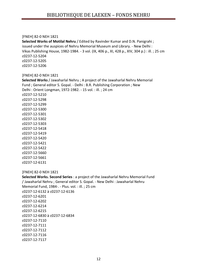#### [FNEH] 82-0 NEH 1821

**Selected Works of Motilal Nehru** / Edited by Ravinder Kumar and D.N. Panigrahi ; issued under the auspices of Nehru Memorial Museum and Library. - New Delhi : Vikas Publishing House, 1982-1984. - 3 vol. (IX, 406 p., XI, 428 p., XIV, 304 p.) : ill. ; 25 cm c0237-12-5204 c0237-12-5205 c0237-12-5206

#### [FNEH] 82-0 NEH 1821

**Selected Works** / Jawaharlal Nehru ; A project of the Jawaharlal Nehru Memorial Fund ; General editor S. Gopal. - Delhi : B.R. Publishing Corporation ; New Delhi : Orient Longman, 1972-1982. - 15 vol. : ill. ; 24 cm c0237-12-5210 c0237-12-5298 c0237-12-5299 c0237-12-5300 c0237-12-5301 c0237-12-5302 c0237-12-5303 c0237-12-5418 c0237-12-5419 c0237-12-5420 c0237-12-5421 c0237-12-5422 c0237-12-5660 c0237-12-5661

# [FNEH] 82-0 NEH 1821

c0237-12-6131

**Selected Works. Second Series** : a project of the Jawaharlal Nehru Memorial Fund / Jawaharlal Nehru ; General editor S. Gopal. - New Delhi : Jawaharlal Nehru Memorial Fund, 1984-. - Plus. vol. : ill. ; 25 cm c0237-12-6132 à c0237-12-6136 c0237-12-6201 c0237-12-6202 c0237-12-6214 c0237-12-6215 c0237-12-6830 à c0237-12-6834 c0237-12-7110 c0237-12-7111 c0237-12-7112 c0237-12-7116 c0237-12-7117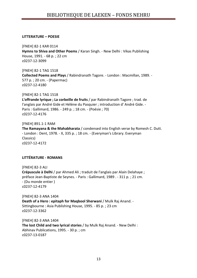#### **LITTERATURE – POESIE**

[FNEH] 82-1 KAR 0114 **Hymns to Shiva and Other Poems** / Karan Singh. - New Delhi : Vikas Publishing House, 1991. - 68 p. ; 22 cm c0237-12-3099

[FNEH] 82-1 TAG 1518 **Collected Poems and Plays** / Rabindranath Tagore. - London : Macmillan, 1989. - 577 p. ; 20 cm. - (Papermac) c0237-12-4180

[FNEH] 82-1 TAG 1518 **L'offrande lyrique ; La corbeille de fruits** / par Rabindranath Tagore ; trad. de l'anglais par André Gide et Hélène du Pasquier ; introduction d' André Gide. - Paris : Gallimard, 1986. - 249 p. ; 18 cm. - (Poésie ; 70) c0237-12-4176

[FNEH] 891.1-1 RAM **The Ramayana & the Mahabharata** / condensed into English verse by Romesh C. Dutt. - London : Dent, 1978. - X, 335 p. ; 18 cm. - (Everyman's Library. Everyman Classics) c0237-12-4172

# **LITTÉRATURE - ROMANS**

[FNEH] 82-3 ALI **Crépuscule à Delhi** / par Ahmed Ali ; traduit de l'anglais par Alain Delahaye ; préface Jean-Baptiste de Seynes. - Paris : Gallimard, 1989 . - 311 p. ; 21 cm. - (Du monde entier ) c0237-12-4179

[FNEH] 82-3 ANA 1404 **Death of a Hero : epitaph for Maqbool Sherwani** / Mulk Raj Anand. - Sittingbourne : Asia Publishing House, 1995. - 85 p. ; 23 cm c0237-12-3362

[FNEH] 82-3 ANA 1404 **The lost Child and two lyrical stories** / by Mulk Raj Anand. - New Delhi : Abhinav Publications, 1995. - 30 p. ; cm c0237-13-0187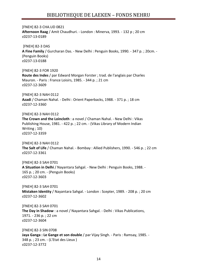[FNEH] 82-3 CHA.UD 0821 **Afternoon Raag** / Amit Chaudhuri. - London : Minerva, 1993. - 132 p ; 20 cm c0237-13-0189 [FNEH] 82-3 DAS **A Fine Family** / Gurcharan Das. - New Delhi : Penguin Books, 1990. - 347 p. ; 20cm. - (Penguin Books) c0237-13-0188 [FNEH] 82-3 FOR 1920 **Route des Indes** / par Edward Morgan Forster ; trad. de l'anglais par Charles Mauron. - Paris : France Loisirs, 1985. - 344 p. ; 21 cm c0237-12-3609 [FNEH] 82-3 NAH 0112 **Azadi** / Chaman Nahal. - Delhi : Orient Paperbacks, 1988. - 371 p. ; 18 cm c0237-12-3360 [FNEH] 82-3 NAH 0112 **The Crown and the Loincloth** : a novel / Chaman Nahal. - New Delhi : Vikas Publishing House, 1981. - 422 p. ; 22 cm. - (Vikas Library of Modern Indian Writing ; 10) c0237-12-3359 [FNEH] 82-3 NAH 0112 **The Salt of Life** / Chaman Nahal. - Bombay : Allied Publishers, 1990. - 546 p. ; 22 cm c0237-12-3361 [FNEH] 82-3 SAH 0701 **A Situation in Delhi** / Nayantara Sahgal. - New Delhi : Penguin Books, 1988. - 165 p. ; 20 cm. - (Penguin Books) c0237-12-3603 [FNEH] 82-3 SAH 0701 **Mistaken Identity** / Nayantara Sahgal. - London : Scepter, 1989. - 208 p. ; 20 cm c0237-12-3602 [FNEH] 82-3 SAH 0701 **The Day in Shadow** : a novel / Nayantara Sahgal. - Delhi : Vikas Publications, 1971. - 236 p. ; 22 cm c0237-12-3604 [FNEH] 82-3 SIN 0708 **Jaya Ganga : Le Gange et son double** / par Vijay Singh. - Paris : Ramsay, 1985. - 348 p. ; 23 cm. - (L'Etat des Lieux )

c0237-12-3772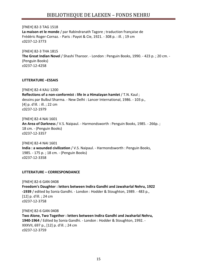[FNEH] 82-3 TAG 1518 **La maison et le monde** / par Rabindranath Tagore ; traduction française de Frédéric Roger-Cornaz. - Paris : Payot & Cie, 1921. - 308 p. : ill. ; 19 cm c0237-12-3773

[FNEH] 82-3 THA 1815 **The Great Indian Novel** / Shashi Tharoor. - London : Penguin Books, 1990. - 423 p. ; 20 cm. - (Penguin Books) c0237-12-4258

#### **LITTERATURE –ESSAIS**

[FNEH] 82-4 KAU 1200 **Reflections of a non-conformist : life in a Himalayan hamlet** / T.N. Kaul ; dessins par Bulbul Sharma. - New Delhi : Lancer International, 1986. - 103 p., [4] p. d'ill. : ill. ; 22 cm c0237-12-1979

[FNEH] 82-4 NAI 1601 **An Area of Darkness** / V.S. Naipaul. - Harmondsworth : Penguin Books, 1985. - 266p. ; 18 cm. - (Penguin Books) c0237-12-3357

[FNEH] 82-4 NAI 1601 **India : a wounded civilization** / V.S. Naipaul. - Harmondsworth : Penguin Books, 1985. - 175 p. ; 18 cm. - (Penguin Books) c0237-12-3358

#### **LITTERATURE – CORRESPONDANCE**

[FNEH] 82-6 GAN 0408 **Freedom's Daughter : letters between Indira Gandhi and Jawaharlal Nehru, 1922 -1939** / edited by Sonia Gandhi. - London : Hodder & Stoughton, 1989. - 483 p., [12] p. d'ill. ; 24 cm c0237-12-3758

[FNEH] 82-6 GAN 0408 **Two Alone, Two Together : letters between Indira Gandhi and Jwaharlal Nehru, 1940-1964** / Edited by Sonia Gandhi. - London : Hodder & Stoughton, 1992. - XXXVII, 697 p., [12] p. d'ill. ; 24 cm c0237-12-3759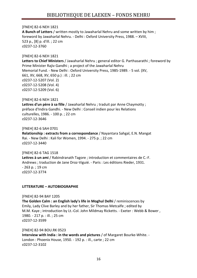# [FNEH] 82-6 NEH 1821

**A Bunch of Letters** / written mostly to Jawaharlal Nehru and some written by him ; foreword by Jawaharlal Nehru. - Delhi : Oxford University Press, 1988. – XVIII, 523 p., [8] p. d'ill. ; 22 cm c0237-12-3760

# [FNEH] 82-6 NEH 1821

**Letters to Chief Ministers** / Jawaharlal Nehru ; general editor G. Parthasarathi ; foreword by Prime Minister Rajiv Gandhi ; a project of the Jawaharlal Nehru Memorial Fund. - New Delhi : Oxford University Press, 1985-1989. - 5 vol. (XV, 661, XV, 668, XV, 650 p.) : ill. ; 22 cm c0237-12-5207 (Vol. 2) c0237-12-5208 (Vol. 4) c0237-12-5209 (Vol. 6)

[FNEH] 82-6 NEH 1821 **Lettres d'un père à sa fille** / Jawaharlal Nehru ; traduit par Anne Chaymotty ; préface d'Indira Gandhi. - New Delhi : Conseil indien pour les Relations culturelles, 1986. - 100 p. ; 22 cm c0237-12-3646

[FNEH] 82-6 SAH 0701 **Relationship : extracts from a correspondance** / Nayantara Sahgal, E.N. Mangat Rai. - New Delhi : Kali for Women, 1994. - 275 p. ; 22 cm c0237-12-3440

[FNEH] 82-6 TAG 1518 **Lettres à un ami** / Rabindranath Tagore ; introduction et commentaires de C.-F. Andrews ; traduction de Jane Droz-Viguié. - Paris : Les éditions Rieder, 1931. - 263 p. ; 19 cm c0237-12-3774

# **LITTERATURE – AUTOBIOGRAPHIE**

[FNEH] 82-94 BAY 1205 **The Golden Calm : an English lady's life in Moghul Delhi** / reminiscences by Emily, Lady Clive Barley and by her father, Sir Thomas Metcalfe ; edited by M.M. Kaye ; introduction by Lt.-Col. John Mildmay Ricketts. - Exeter : Webb & Bower , 1980. - 217 p. : ill. ; 25 cm c0237-12-3599

[FNEH] 82-94 BOU.RK 0523 **Interview with India : in the words and pictures** / of Margaret Bourke-White. - London : Phoenix House, 1950. - 192 p. : ill., carte ; 22 cm c0237-12-3102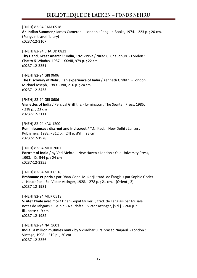[FNEH] 82-94 CAM 0518 **An Indian Summer** / James Cameron. - London : Penguin Books, 1974. - 223 p. ; 20 cm. - (Penguin travel library) c0237-12-3107

[FNEH] 82-94 CHA.UD 0821 **Thy Hand, Great Anarch! : India, 1921-1952** / Nirad C. Chaudhuri. - London : Chatto & Windus, 1987. - XXVIII, 979 p. ; 22 cm c0237-12-3351

[FNEH] 82-94 GRI 0606 **The Discovery of Nehru : an experience of India** / Kenneth Griffith. - London : Michael Joseph, 1989. - VIII, 216 p. ; 24 cm c0237-12-3433

[FNEH] 82-94 GRI 0606 **Vignettes of India** / Percival Griffiths. - Lymington : The Spartan Press, 1985. - 218 p. ; 23 cm c0237-12-3111

[FNEH] 82-94 KAU 1200 **Reminiscences : discreet and indiscreet** / T.N. Kaul. - New Delhi : Lancers Publishers, 1982. - 312 p., [24] p. d'ill. ; 23 cm c0237-12-1978

[FNEH] 82-94 MEH 2001 **Portrait of India** / by Ved Mehta. - New Haven ; London : Yale University Press, 1993. - IX, 544 p. ; 24 cm c0237-12-3355

[FNEH] 82-94 MUK 0518 **Brahmane et paria** / par Dhan Gopal Mukerji ; trad. de l'anglais par Sophie Godet . - Neuchâtel : Ed. Victor Attinger, 1928. - 278 p. ; 21 cm. - (Orient ; 2) c0237-12-1981

[FNEH] 82-94 MUK 0518 **Visitez l'Inde avec moi** / Dhan Gopal Mukerji ; trad. de l'anglais par Musale ; notes de Jabgans K. Balbir. - Neuchâtel : Victor Attinger, [s.d.]. - 260 p. : ill., carte ; 19 cm c0237-12-1982

[FNEH] 82-94 NAI 1601 **India : a million mutinies now** / by Vidiadhar Surajprasad Naipaul. - London : Vintage, 1998. - 519 p. ; 20 cm c0237-12-3356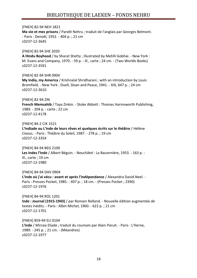[FNEH] 82-94 NEH 1821 **Ma vie et mes prisons** / Pandit Nehru ; traduit de l'anglais par Georges Belmont. - Paris : Denoël, 1952. - 404 p. ; 21 cm c0237-12-3645

[FNEH] 82-94 SHE 2020 **A Hindu Boyhood** / by Sharat Shetty ; illustrated by Mehlli Gobhai. - New York : M. Evans and Company, 1970. - 59 p. : ill., carte ; 24 cm. - (Two-Worlds Books) c0237-12-3591

[FNEH] 82-94 SHR 0904 **My India, my America** / Krishnalal Shridharani ; with an introduction by Louis Bromfield. - New York : Duell, Sloan and Peace, 1941. - XIX, 647 p. ; 24 cm c0237-12-3610

[FNEH] 82-94 ZIN

**French Memsahib** / Taya Zinkin. - Stoke Abbott : Thomas Harmsworth Publishing, 1989. - 204 p. : carte ; 22 cm c0237-12-4178

[FNEH] 84-2 CIX 1521

**L'Indiade ou L'Inde de leurs rêves et quelques écrits sur le théâtre** / Hélène Cixous. - Paris : Théâtre du Soleil, 1987. - 278 p. ; 19 cm c0237-12-3354

[FNEH] 84-94 BEG 2109 **Les Indes l'Inde** / Albert Béguin. - Neuchâtel : La Baconnière, 1953. - 163 p. : ill., carte ; 19 cm c0237-12-1980

[FNEH] 84-94 DAV 0904 **L'Inde où j'ai vécu : avant et après l'indépendance** / Alexandra David-Neel. - Paris : Presses Pocket, 1985. - 407 p. ; 18 cm. - (Presses Pocket ; 2390) c0237-12-1976

[FNEH] 84-94 ROL 1201 **Inde : Journal (1915-1943)** / par Romain Rolland. - Nouvelle édition augmentée de textes inédits. - Paris : Albin Michel, 1960. - 622 p. ; 21 cm c0237-12-1701

[FNEH] 859-94 ELI 0104 **L'Inde** / Mircea Eliade ; traduit du roumain par Alain Paruit. - Paris : L'Herne, 1989. - 245 p. ; 21 cm. - (Méandres) c0237-12-1977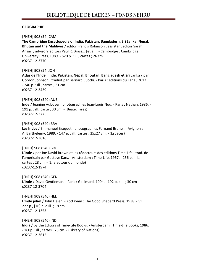# **GEOGRAPHIE**

[FNEH] 908 (54) CAM **The Cambridge Encyclopedia of India, Pakistan, Bangladesh, Sri Lanka, Nepal, Bhutan and the Maldives** / editor Francis Robinson ; assistant editor Sarah Ansari ; advisory editors Paul R. Brass... [et al.]. - Cambridge : Cambridge University Press, 1989. - 520 p. : ill., cartes ; 26 cm c0237-12-3770 [FNEH] 908 (54) JOH **Atlas de l'Inde : Inde, Pakistan, Népal, Bhoutan, Bangladesh et Sri** Lanka / par Gordon Johnson ; traduit par Bernard Cucchi. - Paris : éditions du Fanal, 2012. - 240 p. : ill., cartes ; 31 cm c0237-12-3439 [FNEH] 908 (540) AUB **Inde** / Jeanine Auboyer ; photographies Jean-Louis Nou. - Paris : Nathan, 1986. - 191 p. : ill., carte ; 30 cm. - (Beaux livres) c0237-12-3775 [FNEH] 908 (540) BRA **Les Indes** / Emmanuel Braquet ; photographies Fernand Brunel. - Avignon : A. Barthélémy, 1989. - 147 p. : ill., cartes ; 25x27 cm. - (Espaces) c0237-12-3616 [FNEH] 908 (540) BRO **L'Inde** / par Joe David Brown et les rédacteurs des éditions Time-Life ; trad. de l'américain par Gustave Kars. - Amsterdam : Time-Life, 1967. - 156 p. : ill., cartes ; 28 cm. - (Life autour du monde) c0237-12-1974 [FNEH] 908 (540) GEN **L'Inde** / David Gentleman. - Paris : Gallimard, 1994. - 192 p. : ill. ; 30 cm c0237-12-3704 [FNEH] 908 (540) HEL **L'Inde jolie!** / John Helen. - Kottayam : The Good Sheperd Press, 1938. - VII, 222 p., [16] p. d'ill. ; 19 cm c0237-12-1353 [FNEH] 908 (540) IND **India** / by the Editors of Time-Life Books. - Amsterdam : Time-Life Books, 1986. - 160p. : ill., cartes ; 28 cm. - (Library of Nations) c0237-12-3612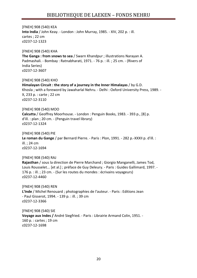[FNEH] 908 (540) KEA **Into India** / John Keay. - London : John Murray, 1985. - XIV, 202 p. : ill. cartes ; 22 cm c0237-12-1323

[FNEH] 908 (540) KHA **The Ganga : from snows to sea** / Swarn Khandpur ; illustrations Narayan A. Padmashali. - Bombay : Ratnabharati, 1971. - 76 p. : ill. ; 25 cm. - (Rivers of India Series) c0237-12-3607

[FNEH] 908 (540) KHO **Himalayan Circuit : the story of a journey in the Inner Himalayas** / by G.D. Khosla ; with a foreword by Jawaharlal Nehru. - Delhi : Oxford University Press, 1989. - X, 233 p. : carte ; 22 cm c0237-12-3110

[FNEH] 908 (540) MOO **Calcutta** / Geoffrey Moorhouse. - London : Penguin Books, 1983. - 393 p., [8] p. d'ill. : plan ; 20 cm. - (Penguin travel library) c0237-12-1324

[FNEH] 908 (540) PIE **Le roman du Gange** / par Bernard Pierre. - Paris : Plon, 1991. - 282 p.-XXXII p. d'ill. : ill. ; 24 cm c0237-12-1694

[FNEH] 908 (540) RAJ **Rajasthan** / sous la direction de Pierre Marchand ; Giorgio Manganelli, James Tod, Louis Rousselet... [et al.] ; préface de Guy Deleury. - Paris : Guides Gallimard, 1997. - 176 p. : ill. ; 23 cm. - (Sur les routes du mondes : écrivains voyageurs) c0237-12-4460

[FNEH] 908 (540) REN **L'Inde** / Michel Renouard ; photographies de l'auteur. - Paris : Editions Jean - Paul Gisserot, 1994. - 139 p. : ill. ; 39 cm c0237-12-3366

[FNEH] 908 (540) SIE **Voyage aux Indes /** André Siegfried. - Paris : Librairie Armand Colin, 1951. - 160 p. : cartes ; 19 cm c0237-12-1698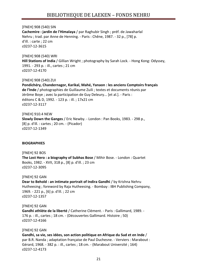[FNEH] 908 (540) SIN **Cachemire : jardin de l'Himalaya** / par Raghubir Singh ; préf. de Jawaharlal Nehru ; trad. par Anne de Henning. - Paris : Chêne, 1987. - 32 p., [78] p. d'ill. : carte ; 22 cm c0237-12-3615

[FNEH] 908 (540) WRI **Hill Stations of India** / Gillian Wright ; photography by Sarah Lock. - Hong Kong: Odyssey, 1991. - 293 p. : ill., cartes ; 21 cm c0237-12-4170

[FNEH] 908 (540) ZUI **Pondichéry, Chandernagor, Karikal, Mahé, Yanaon : les anciens Comptoirs français de l'Inde** / photographies de Guillaume Zuili ; textes et documents réunis par Jérôme Boye ; avec la participation de Guy Deleury... [et al.]. - Paris : éditons C & D, 1992. - 123 p. : ill. ; 17x21 cm c0237-12-3117

[FNEH] 910.4 NEW **Slowly Down the Ganges** / Eric Newby. - London : Pan Books, 1983. - 298 p., [8] p. d'ill. : cartes ; 20 cm. - (Picador) c0237-12-1349

# **BIOGRAPHIES**

[FNEH] 92 BOS **The Lost Hero : a biography of Subhas Bose** / Mihir Bose. - London : Quartet Books, 1982. - XVII, 318 p., [8] p. d'ill. ; 23 cm c0237-12-3095

[FNEH] 92 GAN **Dear to Behold : an intimate portrait of Indira Gandhi** / by Krishna Nehru Hutheesing ; foreword by Raja Hutheesing. - Bombay : IBH Publishing Company, 1969. - 221 p., [6] p. d'ill. ; 22 cm c0237-12-1357

[FNEH] 92 GAN **Gandhi athlète de la liberté** / Catherine Clément. - Paris : Gallimard, 1989. - 176 p. : ill., cartes ; 18 cm. - (Découvertes Gallimard. Histoire ; 50) c0237-12-4166

[FNEH] 92 GAN

**Gandhi, sa vie, ses idées, son action politique en Afrique du Sud et en Inde** / par B.R. Nanda ; adaptation française de Paul Duchesne. - Verviers : Marabout : Gérard, 1968. - 382 p. : ill., cartes ; 18 cm. - (Marabout Université ; 164) c0237-12-4173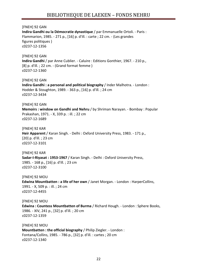[FNEH] 92 GAN

**Indira Gandhi ou la Démocratie dynastique** / par Emmanuelle Ortoli. - Paris : Flammarion, 1985. - 271 p., [16] p. d'ill. : carte ; 22 cm. - (Les grandes figures politiques ) c0237-12-1356

[FNEH] 92 GAN **Indira Gandhi** / par Anne Cublier. - Caluire : Editions Gonthier, 1967. - 210 p., [8] p. d'ill. ; 22 cm. - (Grand format femme ) c0237-12-1360

[FNEH] 92 GAN **Indira Gandhi : a personal and political biography** / Inder Malhotra. - London : Hodder & Stoughton, 1989. - 363 p., [16] p. d'ill. ; 24 cm c0237-12-3434

[FNEH] 92 GAN

**Memoirs : window on Gandhi and Nehru** / by Shriman Narayan. - Bombay : Popular Prakashan, 1971. - X, 339 p. : ill. ; 22 cm c0237-12-1689

[FNEH] 92 KAR

**Heir Apparent** / Karan Singh. - Delhi : Oxford University Press, 1983. - 171 p., [20] p. d'ill. ; 23 cm c0237-12-3101

[FNEH] 92 KAR **Sadar-I-Riyasat : 1953-1967** / Karan Singh. - Delhi : Oxford University Press, 1985. - 168 p., [16] p. d'ill. ; 23 cm c0237-12-3100

[FNEH] 92 MOU **Edwina Mountbatten : a life of her own** / Janet Morgan. - London : HarperCollins, 1991. - X, 509 p. : ill. ; 24 cm c0237-12-4455

[FNEH] 92 MOU **Edwina : Countess Mountbatten of Burma** / Richard Hough. - London : Sphere Books, 1986. - XIV, 241 p., [32] p. d'ill. ; 20 cm c0237-12-1359

[FNEH] 92 MOU **Mountbatten : the official biography** / Philip Ziegler. - London : Fontana/Collins, 1985. - 786 p., [32] p. d'ill. : cartes ; 20 cm c0237-12-1340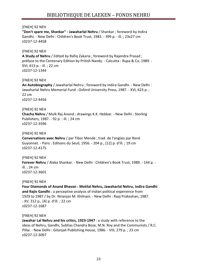**"Don't spare me, Shankar" : Jawaharlal Nehru** / Shankar ; foreword by Indira Gandhi. - New Delhi : Children's Book Trust, 1983. - 399 p. : ill. ; 23x27 cm c0237-12-4458

# [FNEH] 92 NEH

**A Study of Nehru** / Edited by Rafiq Zakaria ; foreword by Rajendra Prasad ; préface to the Centenary Edition by Pritish Nandy. - Calcutta : Rupa & Co, 1989. - XVI, 613 p. : ill. ; 22 cm c0237-12-1344

# [FNEH] 92 NEH

**An Autobiography** / Jawaharlal Nehru ; foreword by Indira Gandhi. - New Delhi : Jawaharlal Nehru Memorial Fund : Oxford University Press, 1987. - XVI, 623 p. ; 22 cm c0237-12-4456

# [FNEH] 92 NEH

**Chacha Nehru** / Mulk Raj Anand ; drawings K.K. Hebbar. - New Delhi : Sterling Publishers, 1987. - 92 p. : ill. ; 24 cm c0237-12-3596

# [FNEH] 92 NEH

**Conversations avec Nehru** / par Tibor Mende ; trad. de l'anglais par René Guyonnet. - Paris : Editions du Seuil, 1956. - 204 p., [12] p. d'ill. ; 19 cm c0237-12-4175

# [FNEH] 92 NEH

**Forever Nehru** / Alaka Shankar. - New Delhi : Children's Book Trust, 1989. - 144 p. : ill. ; 24 cm c0237-12-3601

#### [FNEH] 92 NEH

**Four Diamonds of Anand Bhavan : Motilal Nehru, Jawaharlal Nehru, Indira Gandhi and Rajiv Gandhi** : a perceptive analysis of Indian political experience from 1929 to 1987 / by Dr. Niranjan M. Khilnani. - New Delhi : Raaj Prakashan, 1987. - XV, 312 p., [4] p. d'ill. ; 22 cm c0237-12-1687

# [FNEH] 92 NEH

**Jawahar Lal Nehru and his critics, 1923-1947** : a study with reference to the ideas of Nehru, Gandhi, Subhas Chandra Bose, M.N. Roy and the Communists / R.C. Pillai. - New Delhi : Gitanjali Publishing House, 1986. - VIII, 279 p. ; 23 cm c0237-12-3097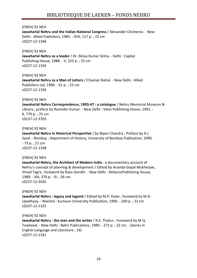**Jawaharlal Nehru and the Indian National Congress** / Alexander Chicherov. - New Delhi : Allied Publishers, 1985. - XVII, 117 p. ; 22 cm c0237-12-1346

[FNEH] 92 NEH **Jawaharlal Nehru as a leader** / Dr. Binay Kumar Sinha. - Delhi : Capital Publishing House, 1988. - V, 225 p. ; 23 cm c0237-12-1335

[FNEH] 92 NEH **Jawaharlal Nehru as a Man of Letters** / Chaman Nahal. - New Delhi : Allied Publishers Ltd, 1990. - 61 p. ; 22 cm c0237-12-1336

#### [FNEH] 92 NEH

**Jawaharlal Nehru Correspondence, 1903-47 : a catalogue** / Nehru Memorial Museum & Library ; preface by Ravinder Kumar. - New Delhi : Vikas Publishing House, 1991. - X, 770 p. ; 25 cm c0237-12-3703

[FNEH] 92 NEH

**Jawaharlal Nehru in Historical Perspective** / by Bipan Chandra ; Preface by A.J. Syed. - Bombay : Department of History, University of Bombay Publication, 1990. - 73 p. ; 21 cm c0237-12-1338

[FNEH] 92 NEH

**Jawaharlal Nehru, the Architect of Modern India** : a documentary account of Nehru's concept of planning & development / Edited by Ananda Gopal Mukherjee, Vinod Tagra ; foreword by Rajiv Gandhi. - New Delhi : ReliancePublishing House, 1989. - XIII, 370 p. : ill. ; 26 cm c0237-12-3435

[FNEH] 92 NEH

**Jawaharlal Nehru : legacy and legend** / Edited by M.P. Dube ; foreword by M.D. Upadhyay. - Nainital : Kumaun University Publication, 1989. - 269 p. ; 23 cm c0237-12-1325

[FNEH] 92 NEH

**Jawaharlal Nehru : the man and the writer** / R.K. Thakur ; Foreword by M.Q. Towheed. - New Delhi : Bahri Publications, 1989. - 272 p. ; 22 cm. - (Series in English Language and Literature ; 16) c0237-12-1331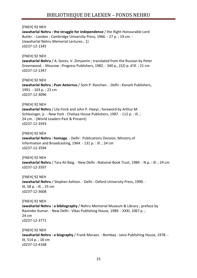**Jawaharlal Nehru : the struggle for independence** / the Right Honourable Lord Butler. - London : Cambridge University Press, 1966. - 27 p. ; 19 cm. - (Jawaharlal Nehru Memorial Lectures ; 1) c0237-12-1345

# [FNEH] 92 NEH **Jawaharlal Nehru** / A. Gorev, V. Zimyamin ; translated from the Russian by Peter Greenwood. - Moscow : Progress Publishers, 1982. - 340 p., [32] p. d'ill. ; 21 cm c0237-12-1347

[FNEH] 92 NEH **Jawaharlal Nehru : Puer Aeternus** / Som P. Ranchan. - Delhi : Konark Publishers, 1991. - 103 p. ; 23 cm c0237-12-3096

# [FNEH] 92 NEH

**Jawaharlal Nehru** / Lila Finck and John P. Haeys ; foreword by Arthur M. Schlesinger, jr. - New York : Chelsea House Publishers, 1987. - 112 p. : ill. ; 24 cm. - (World Leaders Past & Present) c0237-12-3593

[FNEH] 92 NEH

**Jawaharlal Nehru : homage**. - Delhi : Publications Division, Ministry of Information and Broadcasting, 1964. - 131 p. : ill. ; 24 cm c0237-12-3594

[FNEH] 92 NEH

**Jawaharlal Nehru** / Tara Ali Baig. - New Delhi : National Book Trust, 1989. - N.p. : ill. ; 24 cm c0237-12-3597

[FNEH] 92 NEH **Jawaharlal Nehru** / Stephen Ashton. - Delhi : Oxford University Press, 1990. - IX, 58 p. : ill. ; 25 cm c0237-12-3608

# [FNEH] 92 NEH **Jawaharlal Nehru : a bibliography** / Nehru Memorial Museum & Library ; preface by Ravinder Kumar. - New Delhi : Vikas Publishing House, 1989. - XXXI, 1067 p. ; 24 cm c0237-12-3771

[FNEH] 92 NEH **Jawaharlal Nehru : a biography** / Frank Moraes. - Bombay : Jaico Publishing House, 1978. - IX, 514 p. ; 18 cm c0237-12-4168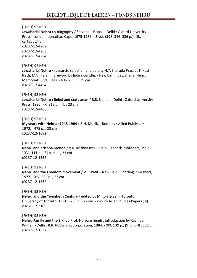[FNEH] 92 NEH **Jawaharlal Nehru : a biography** / Sarvepalli Gopal. - Delhi : Oxford University Press ; London : Jonathan Cape, 1975-1989. - 3 vol. (398, 346, 336 p.) : ill., cartes ; 24 cm c0237-12-4262 c0237-12-4263 c0237-12-4264 [FNEH] 92 NEH **Jawaharlal Nehru** / research, selection and editing H.Y. Sharada Prasad, T. Kasi Nath, M.V. Rajan ; foreword by Indira Gandhi. - New Delhi : Jawaharlal Nehru Memorial Fund, 1983. - 405 p. : ill. ; 29 cm c0237-12-4454 [FNEH] 92 NEH **Jawaharlal Nehru : Rebel and statesman** / B.R. Nanda. - Delhi : Oxford University Press, 1995. - X, 312 p. : ill. ; 23 cm c0237-12-4466 [FNEH] 92 NEH **My years with Nehru : 1948-1964** / B.N. Mullik. - Bombay : Allied Publishers, 1972. - 475 p. ; 23 cm c0237-12-1692 [FNEH] 92 NEH **Nehru and Krishna Menon** / V.R. Krishna Iyer. - Delhi : Konark Publishers, 1993. - XVI, 111 p., [8] p. d'ill. ; 23 cm c0237-12-1332 [FNEH] 92 NEH **Nehru and the Freedom movement** / V.T. Patil. - New Delhi : Sterling Publishers, 1977. - XIV, 335 p. ; 22 cm c0237-12-1352

[FNEH] 92 NEH **Nehru and the Twentieth Century** / edited by Milton Israel. - Toronto : University of Toronto, 1991. - 265 p. ; 22 cm. - (South Asian Studies Papers ; 4) c0237-12-3106

[FNEH] 92 NEH **Nehru Family and the Sikhs** / Prof. Harbans Singh ; introduction by Ravinder Kumar. - Delhi : B.R. Publishing Corporation, 1984. - XIX, 139 p., [9] p. d'ill . ; 22 cm c0237-12-1337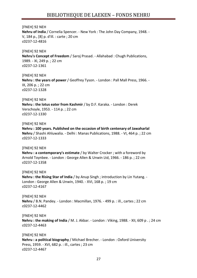# [FNEH] 92 NEH **Nehru of India** / Cornelia Spencer. - New York : The John Day Company, 1948. - V, 184 p., [8] p. d'ill. : carte ; 20 cm c0237-12-4816 [FNEH] 92 NEH **Nehru's Concept of Freedom** / Saroj Prasad. - Allahabad : Chugh Publications, 1989. - XI, 249 p. ; 22 cm c0237-12-1361 [FNEH] 92 NEH

**Nehru : the years of power** / Geoffrey Tyson. - London : Pall Mall Press, 1966. - IX, 206 p. ; 22 cm c0237-12-1328

#### [FNEH] 92 NEH

**Nehru : the lotus eater from Kashmir** / by D.F. Karaka. - London : Derek Verschoyle, 1953. - 114 p. ; 22 cm c0237-12-1330

#### [FNEH] 92 NEH

**Nehru : 100 years. Published on the occasion of birth centenary of Jawaharlal Nehru** / Shashi Ahluwalia. - Delhi : Manas Publications, 1988. - VI, 464 p. ; 22 cm c0237-12-1333

# [FNEH] 92 NEH

**Nehru : a contemporary's estimate** / by Walter Crocker ; with a foreword by Arnold Toynbee. - London : George Allen & Unwin Ltd, 1966. - 186 p. ; 22 cm c0237-12-1358

#### [FNEH] 92 NEH

**Nehru : the Rising Star of India** / by Anup Singh ; introduction by Lin Yutang. - London : George Allen & Unwin, 1940. - XVI, 168 p. ; 19 cm c0237-12-4167

[FNEH] 92 NEH **Nehru** / B.N. Pandey. - London : Macmillan, 1976. - 499 p. : ill., cartes ; 22 cm c0237-12-4462

# [FNEH] 92 NEH **Nehru : the making of India** / M. J. Akbar. - London : Viking, 1988. - XII, 609 p . ; 24 cm c0237-12-4463

[FNEH] 92 NEH **Nehru : a political biography** / Michael Brecher. - London : Oxford University Press, 1959. - XVI, 682 p. : ill., cartes ; 23 cm c0237-12-4467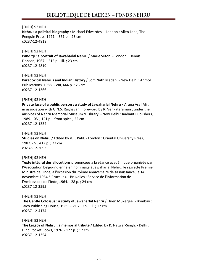**Nehru : a political biography** / Michael Edwardes. - London : Allen Lane, The Penguin Press, 1971. - 351 p. ; 23 cm c0237-12-4818

[FNEH] 92 NEH **Panditji : a portrait of Jawaharlal Nehru** / Marie Seton. - London : Dennis Dobson, 1967. - 515 p. : ill. ; 23 cm c0237-12-4819

[FNEH] 92 NEH **Paradoxical Nehrus and Indian History** / Som Nath Madan. - New Delhi : Anmol Publications, 1988. - VIII, 444 p. ; 23 cm c0237-12-1366

#### [FNEH] 92 NEH

**Private face of a public person : a study of Jawaharlal Nehru** / Aruna Asaf Ali ; in association with G.N.S. Raghavan ; foreword by R. Venkataraman ; under the auspices of Nehru Memorial Museum & Library. - New Delhi : Radiant Publishers, 1989. - XVI, 121 p. : frontispice ; 22 cm c0237-12-1334

[FNEH] 92 NEH **Studies on Nehru** / Edited by V.T. Patil. - London : Oriental University Press, 1987. - VI, 412 p. ; 22 cm c0237-12-3093

[FNEH] 92 NEH **Texte intégral des allocutions** prononcées à la séance académique organisée par l'Association belgo-indienne en hommage à Jawaharlal Nehru, le regretté Premier Ministre de l'Inde, à l'occasion du 75ème anniversaire de sa naissance, le 14 novembre 1964 à Bruxelles. - Bruxelles : Service de l'Information de l'Ambassade de l'Inde, 1964. - 28 p. ; 24 cm c0237-12-3595

[FNEH] 92 NEH **The Gentle Colossus : a study of Jawaharlal Nehru** / Hiren Mukerjee. - Bombay : Jaico Publishing House, 1969. - VI, 239 p. : ill. ; 17 cm c0237-12-4174

[FNEH] 92 NEH **The Legacy of Nehru : a memorial tribute** / Edited by K. Natwar-Singh. - Delhi : Hind Pocket Books, 1976. - 127 p. ; 17 cm c0237-12-1354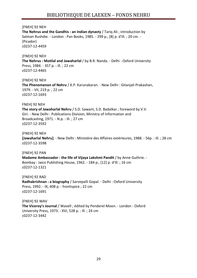**The Nehrus and the Gandhis : an Indian dynasty** / Tariq Ali ; introduction by Salman Rushdie. - London : Pan Books, 1985. - 299 p., [8] p. d'ill. ; 20 cm. - (Picador) c0237-12-4459

# [FNEH] 92 NEH

**The Nehrus : Motilal and Jawaharlal** / by B.R. Nanda. - Delhi : Oxford University Press, 1984. - 357 p. : ill. ; 22 cm c0237-12-4465

[FNEH] 92 NEH

**The Phenomenon of Nehru** / K.P. Karunakaran. - New Delhi : Gitanjali Prakashan, 1979. - VII, 219 p. ; 22 cm c0237-12-1693

# FNEH] 92 NEH

**The story of Jawaharlal Nehru** / S.D. Sawant, S.D. Badalkar ; foreword by V.V. Giri. - New Delhi : Publications Division, Ministry of Information and Broadcasting, 1971. - N.p. : ill. ; 27 cm c0237-12-3592

#### [FNEH] 92 NEH

**[Jawaharlal Nehru]**. - New Delhi : Ministère des Affaires extérieures, 1988. - 56p. : ill. ; 28 cm c0237-12-3598

#### [FNEH] 92 PAN

**Madame Ambassador : the life of Vijaya Lakshmi Pandit** / by Anne Guthrie. - Bombay : Jaico Publishing House, 1962. - 184 p., [12] p. d'ill. ; 16 cm c0237-12-1321

[FNEH] 92 RAD

**Radhakrishnan : a biography** / Sarvepalli Gopal. - Delhi : Oxford University Press, 1992. - IX, 408 p. : frontispice ; 22 cm c0237-12-1691

[FNEH] 92 WAV

**The Viceroy's Journal** / Wavell ; édited by Penderel Moon. - London : Oxford University Press, 1973. - XVI, 528 p. : ill. ; 24 cm c0237-12-3442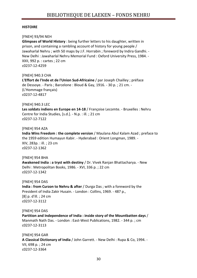#### **HISTOIRE**

#### [FNEH] 93/94 NEH

**Glimpses of World History** : being further letters to his daughter, written in prison, and containing a rambling account of history for young people / Jawaharlal Nehru ; with 50 maps by J.F. Horrabin ; foreword by Indira Gandhi. - New Delhi : Jawaharlal Nehru Memorial Fund : Oxford University Press, 1984. - XXII, 992 p. : cartes ; 22 cm c0237-12-4259

[FNEH] 940.3 CHA

**L'Effort de l'Inde et de l'Union Sud-Africaine** / par Joseph Chailley ; préface de Dessoye. - Paris ; Barcelone : Bloud & Gay, 1916. - 30 p. ; 21 cm. - (L'Hommage français) c0237-12-4817

# [FNEH] 940.3 LEC

**Les soldats indiens en Europe en 14-18** / Françoise Lecomte. - Bruxelles : Nehru Centre for India Studies, [s.d.]. - N.p. : ill. ; 21 cm c0237-12-7122

#### [FNEH] 954 AZA

**India Wins Freedom : the complete version** / Maulana Abul Kalam Azad ; preface to the 1959 edition Humayun Kabir. - Hyderabad : Orient Longman, 1989. - XIV, 283p. : ill. ; 23 cm c0237-12-1362

[FNEH] 954 BHA **Awakened India : a tryst with destiny** / Dr. Vivek Ranjan Bhattacharya. - New Delhi : Metropolitan Books, 1986. - XVI, 336 p. ; 22 cm c0237-12-1342

[FNEH] 954 DAS

**India : from Curzon to Nehru & after** / Durga Das ; with a foreword by the President of India Zakir Husain. - London : Collins, 1969. - 487 p., [8] p. d'ill. ; 24 cm c0237-12-3112

# [FNEH] 954 DAS

**Partition and Independence of India : inside story of the Mountbatten days** / Manmath Nath Das. - London : East-West Publications, 1982. - 344 p. ; cm c0237-12-3113

[FNEH] 954 GAR **A Classical Dictionary of India** / John Garrett. - New Delhi : Rupa & Co, 1994. - VII, 698 p. ; 24 cm c0237-12-3364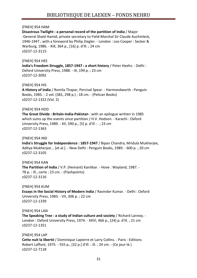# [FNEH] 954 HAM

**Disastrous Twilight : a personal record of the partition of India** / Major -General Shaid Hamid, private secretary to Field-Marshal Sir Claude Auchinleck, 1946-1947 ; with a foreword by Philip Ziegler. - London : Leo Cooper : Secker & Warburg, 1986. - XIX, 364 p., [16] p. d'ill. ; 24 cm c0237-12-3115

# [FNEH] 954 HEE

**India's Freedom Struggle, 1857-1947 : a short history** / Peter Heehs. - Delhi : Oxford University Press, 1988. - IX, 199 p. ; 23 cm c0237-12-3092

[FNEH] 954 HIS

**A History of India** / Romila Thapar, Percival Spear. - Harmondworth : Penguin Books, 1985. - 2 vol. (381, 298 p.) ; 18 cm. - (Pelican Books) c0237-12-1322 (Vol. 2)

# [FNEH] 954 HOD

**The Great Divide : Britain-India-Pakistan** : with an epilogue written in 1985 which sums up the events since partition / H.V. Hodson. - Karachi : Oxford University Press, 1989. - XII, 590 p., [5] p. d'ill : . ; 23 cm c0237-12-1363

# [FNEH] 954 IND

**India's Struggle for Independence : 1857-1947** / Bipan Chandra, Mridula Mukherjee, Aditya Mukherjee... [et al.]. - New Delhi : Penguin Books, 1989. - 600 p. ; 20 cm c0237-12-3105

[FNEH] 954 KAN **The Partition of India** / V.P. (Hemant) Kanitkar. - Hove : Wayland, 1987. - 78 p. : ill., carte ; 23 cm. - (Flashpoints) c0237-12-3116

[FNEH] 954 KUM

**Essays in the Social History of Modern India** / Ravinder Kumar. - Delhi : Oxford University Press, 1983. - VII, 306 p. ; 22 cm c0237-12-1339

# [FNEH] 954 LAN

**The Speaking Tree : a study of Indian culture and society** / Richard Lannoy. - London : Oxford University Press, 1974. - XXVI, 466 p., [24] p. d'ill. ; 21 cm c0237-12-1351

[FNEH] 954 LAP **Cette nuit la liberté** / Dominique Lapierre et Larry Collins. - Paris : Editions Robert Laffont, 1975. - 555 p., [32 p.] d'ill. : ill. ; 24 cm. - (Ce jour-là ) c0237-12-7118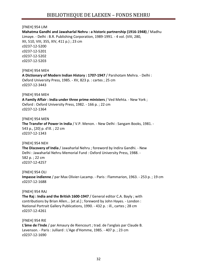# [FNEH] 954 LIM

**Mahatma Gandhi and Jawaharlal Nehru : a historic partnership (1916-1948)** / Madhu Limaye. - Delhi : B.R. Publishing Corporation, 1989-1991. - 4 vol. (VIII, 280, XII, 510, VIII, 355, XIV, 411 p.) ; 23 cm c0237-12-5200 c0237-12-5201 c0237-12-5202 c0237-12-5203

[FNEH] 954 MEH

**A Dictionary of Modern Indian History : 1707-1947** / Parshotam Mehra. - Delhi : Oxford University Press, 1985. - XV, 823 p. : cartes ; 25 cm c0237-12-3443

#### [FNEH] 954 MEH

**A Family Affair : India under three prime ministers** / Ved Mehta. - New York ; Oxford : Oxford University Press, 1982. - 166 p. ; 22 cm c0237-12-1364

[FNEH] 954 MEN

**The Transfer of Power in India** / V.P. Menon. - New Delhi : Sangam Books, 1981. - 543 p., [20] p. d'ill. ; 22 cm c0237-12-1343

# [FNEH] 954 NEH

**The Discovery of India** / Jawaharlal Nehru ; foreword by Indira Gandhi. - New Delhi : Jawaharlal Nehru Memorial Fund : Oxford University Press, 1988. - 582 p. ; 22 cm c0237-12-4257

[FNEH] 954 OLI **Impasse indienne** / par Max Olivier-Lacamp. - Paris : Flammarion, 1963. - 253 p. ; 19 cm c0237-12-1688

# [FNEH] 954 RAJ

**The Raj : India and the British 1600-1947** / General editor C.A. Bayly ; with contributions by Brian Allen... [et al.] ; foreword by John Hayes. - London : National Portrait Gallery Publications, 1990. - 432 p. : ill., cartes ; 28 cm c0237-12-4261

[FNEH] 954 RIE **L'âme de l'Inde** / par Amaury de Riencourt ; trad. de l'anglais par Claude B. Levenson. - Paris : Julliard : L'Age d'Homme, 1985. - 407 p. ; 23 cm c0237-12-1690